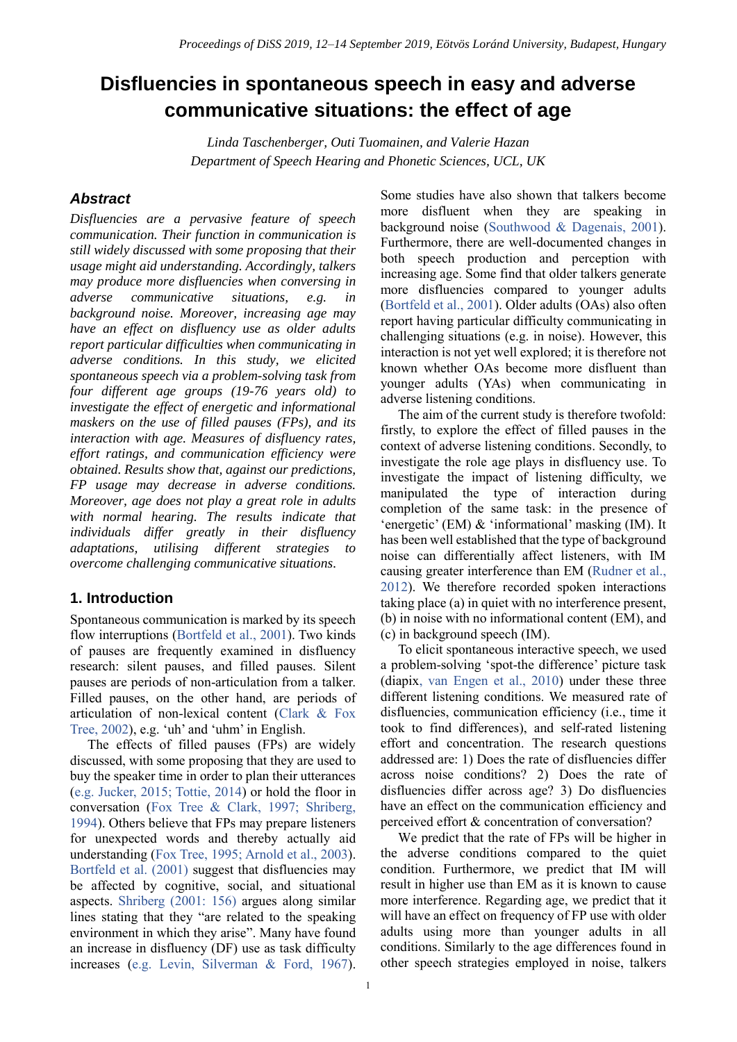# **Disfluencies in spontaneous speech in easy and adverse communicative situations: the effect of age**

*Linda Taschenberger, Outi Tuomainen, and Valerie Hazan Department of Speech Hearing and Phonetic Sciences, UCL, UK*

## *Abstract*

*Disfluencies are a pervasive feature of speech communication. Their function in communication is still widely discussed with some proposing that their usage might aid understanding. Accordingly, talkers may produce more disfluencies when conversing in adverse communicative situations, e.g. in background noise. Moreover, increasing age may have an effect on disfluency use as older adults report particular difficulties when communicating in adverse conditions. In this study, we elicited spontaneous speech via a problem-solving task from four different age groups (19-76 years old) to investigate the effect of energetic and informational maskers on the use of filled pauses (FPs), and its interaction with age. Measures of disfluency rates, effort ratings, and communication efficiency were obtained. Results show that, against our predictions, FP usage may decrease in adverse conditions. Moreover, age does not play a great role in adults with normal hearing. The results indicate that individuals differ greatly in their disfluency adaptations, utilising different strategies to overcome challenging communicative situations.*

# **1. Introduction**

Spontaneous communication is marked by its speech flow interruptions (Bortfeld et al., 2001). Two kinds of pauses are frequently examined in disfluency research: silent pauses, and filled pauses. Silent pauses are periods of non-articulation from a talker. Filled pauses, on the other hand, are periods of articulation of non-lexical content (Clark & Fox Tree, 2002), e.g. 'uh' and 'uhm' in English.

The effects of filled pauses (FPs) are widely discussed, with some proposing that they are used to buy the speaker time in order to plan their utterances (e.g. Jucker, 2015; Tottie, 2014) or hold the floor in conversation (Fox Tree & Clark, 1997; Shriberg, 1994). Others believe that FPs may prepare listeners for unexpected words and thereby actually aid understanding (Fox Tree, 1995; Arnold et al., 2003). Bortfeld et al. (2001) suggest that disfluencies may be affected by cognitive, social, and situational aspects. Shriberg (2001: 156) argues along similar lines stating that they "are related to the speaking environment in which they arise". Many have found an increase in disfluency (DF) use as task difficulty increases (e.g. Levin, Silverman & Ford, 1967).

Some studies have also shown that talkers become more disfluent when they are speaking in background noise (Southwood & Dagenais, 2001). Furthermore, there are well-documented changes in both speech production and perception with increasing age. Some find that older talkers generate more disfluencies compared to younger adults (Bortfeld et al., 2001). Older adults (OAs) also often report having particular difficulty communicating in challenging situations (e.g. in noise). However, this interaction is not yet well explored; it is therefore not known whether OAs become more disfluent than younger adults (YAs) when communicating in adverse listening conditions.

The aim of the current study is therefore twofold: firstly, to explore the effect of filled pauses in the context of adverse listening conditions. Secondly, to investigate the role age plays in disfluency use. To investigate the impact of listening difficulty, we manipulated the type of interaction during completion of the same task: in the presence of 'energetic' (EM) & 'informational' masking (IM). It has been well established that the type of background noise can differentially affect listeners, with IM causing greater interference than EM (Rudner et al., 2012). We therefore recorded spoken interactions taking place (a) in quiet with no interference present, (b) in noise with no informational content (EM), and (c) in background speech (IM).

To elicit spontaneous interactive speech, we used a problem-solving 'spot-the difference' picture task (diapix, van Engen et al., 2010) under these three different listening conditions. We measured rate of disfluencies, communication efficiency (i.e., time it took to find differences), and self-rated listening effort and concentration. The research questions addressed are: 1) Does the rate of disfluencies differ across noise conditions? 2) Does the rate of disfluencies differ across age? 3) Do disfluencies have an effect on the communication efficiency and perceived effort & concentration of conversation?

We predict that the rate of FPs will be higher in the adverse conditions compared to the quiet condition. Furthermore, we predict that IM will result in higher use than EM as it is known to cause more interference. Regarding age, we predict that it will have an effect on frequency of FP use with older adults using more than younger adults in all conditions. Similarly to the age differences found in other speech strategies employed in noise, talkers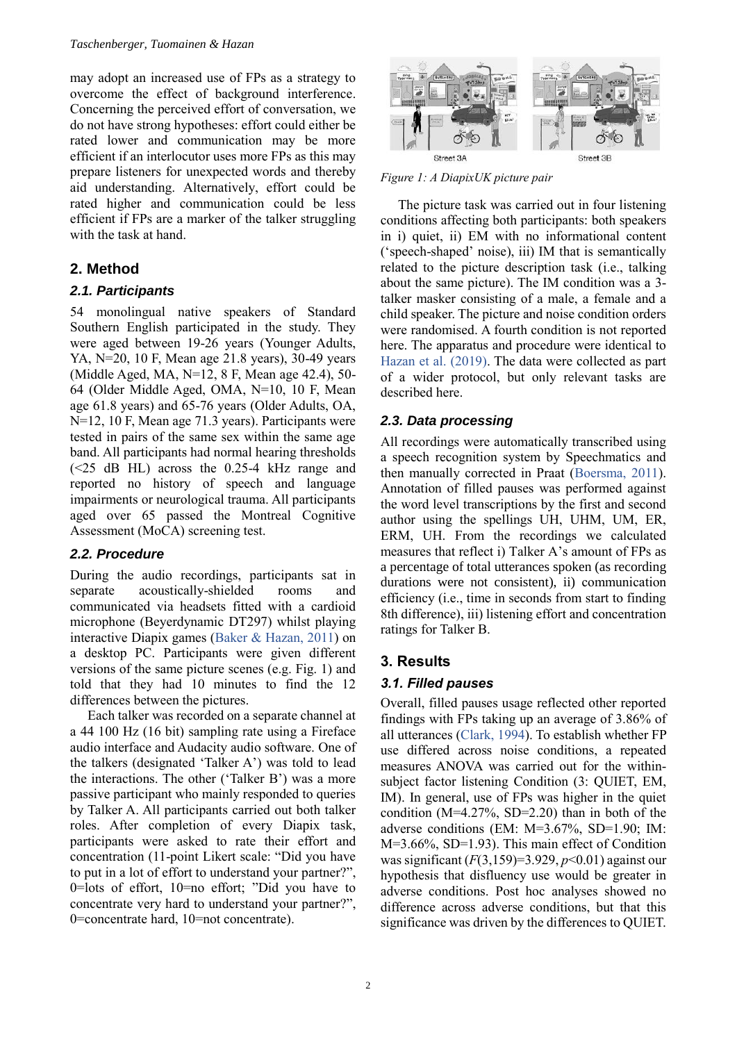may adopt an increased use of FPs as a strategy to overcome the effect of background interference. Concerning the perceived effort of conversation, we do not have strong hypotheses: effort could either be rated lower and communication may be more efficient if an interlocutor uses more FPs as this may prepare listeners for unexpected words and thereby aid understanding. Alternatively, effort could be rated higher and communication could be less efficient if FPs are a marker of the talker struggling with the task at hand.

# **2. Method**

### *2.1. Participants*

54 monolingual native speakers of Standard Southern English participated in the study. They were aged between 19-26 years (Younger Adults, YA, N=20, 10 F, Mean age 21.8 years), 30-49 years (Middle Aged, MA, N=12, 8 F, Mean age 42.4), 50- 64 (Older Middle Aged, OMA, N=10, 10 F, Mean age 61.8 years) and 65-76 years (Older Adults, OA, N=12, 10 F, Mean age 71.3 years). Participants were tested in pairs of the same sex within the same age band. All participants had normal hearing thresholds (<25 dB HL) across the 0.25-4 kHz range and reported no history of speech and language impairments or neurological trauma. All participants aged over 65 passed the Montreal Cognitive Assessment (MoCA) screening test.

## *2.2. Procedure*

During the audio recordings, participants sat in separate acoustically-shielded rooms and communicated via headsets fitted with a cardioid microphone (Beyerdynamic DT297) whilst playing interactive Diapix games (Baker & Hazan, 2011) on a desktop PC. Participants were given different versions of the same picture scenes (e.g. Fig. 1) and told that they had 10 minutes to find the 12 differences between the pictures.

Each talker was recorded on a separate channel at a 44 100 Hz (16 bit) sampling rate using a Fireface audio interface and Audacity audio software. One of the talkers (designated 'Talker A') was told to lead the interactions. The other ('Talker B') was a more passive participant who mainly responded to queries by Talker A. All participants carried out both talker roles. After completion of every Diapix task, participants were asked to rate their effort and concentration (11-point Likert scale: "Did you have to put in a lot of effort to understand your partner?", 0=lots of effort, 10=no effort; "Did you have to concentrate very hard to understand your partner?", 0=concentrate hard, 10=not concentrate).



*Figure 1: A DiapixUK picture pair*

The picture task was carried out in four listening conditions affecting both participants: both speakers in i) quiet, ii) EM with no informational content ('speech-shaped' noise), iii) IM that is semantically related to the picture description task (i.e., talking about the same picture). The IM condition was a 3 talker masker consisting of a male, a female and a child speaker. The picture and noise condition orders were randomised. A fourth condition is not reported here. The apparatus and procedure were identical to Hazan et al. (2019). The data were collected as part of a wider protocol, but only relevant tasks are described here.

## *2.3. Data processing*

All recordings were automatically transcribed using a speech recognition system by Speechmatics and then manually corrected in Praat (Boersma, 2011). Annotation of filled pauses was performed against the word level transcriptions by the first and second author using the spellings UH, UHM, UM, ER, ERM, UH. From the recordings we calculated measures that reflect i) Talker A's amount of FPs as a percentage of total utterances spoken (as recording durations were not consistent), ii) communication efficiency (i.e., time in seconds from start to finding 8th difference), iii) listening effort and concentration ratings for Talker B.

## **3. Results**

#### *3.1. Filled pauses*

Overall, filled pauses usage reflected other reported findings with FPs taking up an average of 3.86% of all utterances (Clark, 1994). To establish whether FP use differed across noise conditions, a repeated measures ANOVA was carried out for the withinsubject factor listening Condition (3: QUIET, EM, IM). In general, use of FPs was higher in the quiet condition ( $M=4.27\%$ , SD=2.20) than in both of the adverse conditions (EM: M=3.67%, SD=1.90; IM: M=3.66%, SD=1.93). This main effect of Condition was significant  $(F(3,159)=3.929, p<0.01)$  against our hypothesis that disfluency use would be greater in adverse conditions. Post hoc analyses showed no difference across adverse conditions, but that this significance was driven by the differences to QUIET.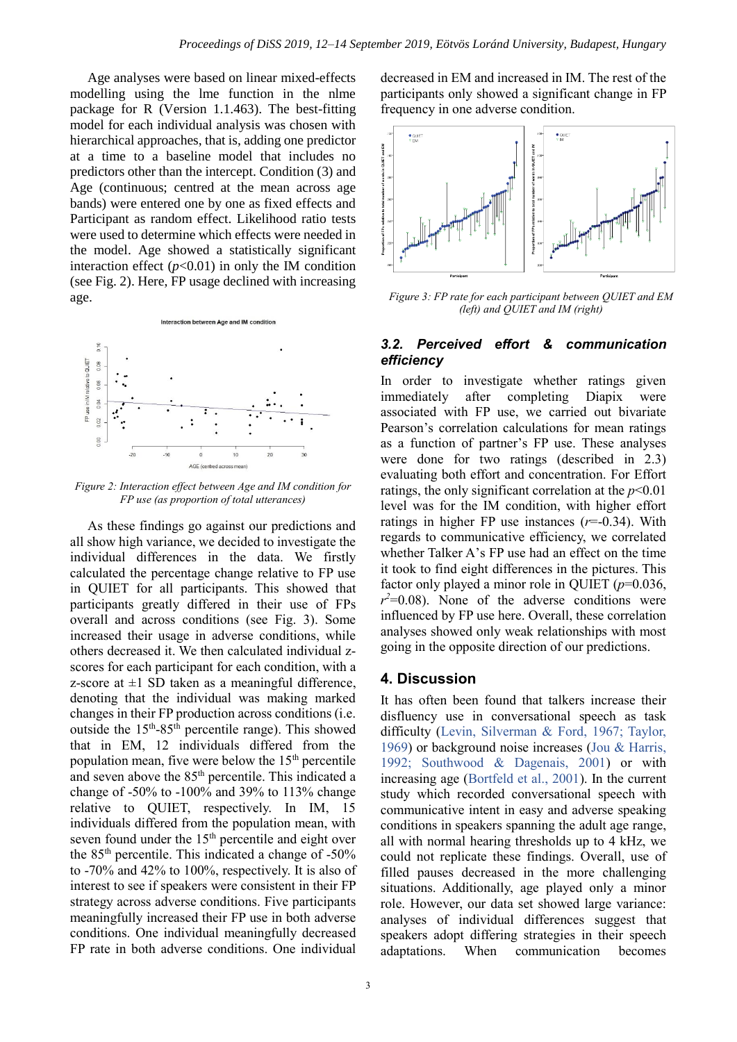Age analyses were based on linear mixed-effects modelling using the lme function in the nlme package for R (Version 1.1.463). The best-fitting model for each individual analysis was chosen with hierarchical approaches, that is, adding one predictor at a time to a baseline model that includes no predictors other than the intercept. Condition (3) and Age (continuous; centred at the mean across age bands) were entered one by one as fixed effects and Participant as random effect. Likelihood ratio tests were used to determine which effects were needed in the model. Age showed a statistically significant interaction effect  $(p<0.01)$  in only the IM condition (see Fig. 2). Here, FP usage declined with increasing age.



*Figure 2: Interaction effect between Age and IM condition for FP use (as proportion of total utterances)*

As these findings go against our predictions and all show high variance, we decided to investigate the individual differences in the data. We firstly calculated the percentage change relative to FP use in QUIET for all participants. This showed that participants greatly differed in their use of FPs overall and across conditions (see Fig. 3). Some increased their usage in adverse conditions, while others decreased it. We then calculated individual zscores for each participant for each condition, with a z-score at  $\pm 1$  SD taken as a meaningful difference, denoting that the individual was making marked changes in their FP production across conditions (i.e. outside the  $15<sup>th</sup>-85<sup>th</sup>$  percentile range). This showed that in EM, 12 individuals differed from the population mean, five were below the  $15<sup>th</sup>$  percentile and seven above the 85th percentile. This indicated a change of -50% to -100% and 39% to 113% change relative to QUIET, respectively. In IM, 15 individuals differed from the population mean, with seven found under the 15<sup>th</sup> percentile and eight over the  $85<sup>th</sup>$  percentile. This indicated a change of -50% to -70% and 42% to 100%, respectively. It is also of interest to see if speakers were consistent in their FP strategy across adverse conditions. Five participants meaningfully increased their FP use in both adverse conditions. One individual meaningfully decreased FP rate in both adverse conditions. One individual

decreased in EM and increased in IM. The rest of the participants only showed a significant change in FP frequency in one adverse condition.



*Figure 3: FP rate for each participant between QUIET and EM (left) and QUIET and IM (right)*

#### *3.2. Perceived effort & communication efficiency*

In order to investigate whether ratings given immediately after completing Diapix were associated with FP use, we carried out bivariate Pearson's correlation calculations for mean ratings as a function of partner's FP use. These analyses were done for two ratings (described in 2.3) evaluating both effort and concentration. For Effort ratings, the only significant correlation at the  $p<0.01$ level was for the IM condition, with higher effort ratings in higher FP use instances  $(r=0.34)$ . With regards to communicative efficiency, we correlated whether Talker A's FP use had an effect on the time it took to find eight differences in the pictures. This factor only played a minor role in QUIET (*p*=0.036,  $r^2$ =0.08). None of the adverse conditions were influenced by FP use here. Overall, these correlation analyses showed only weak relationships with most going in the opposite direction of our predictions.

#### **4. Discussion**

It has often been found that talkers increase their disfluency use in conversational speech as task difficulty (Levin, Silverman & Ford, 1967; Taylor, 1969) or background noise increases (Jou & Harris, 1992; Southwood & Dagenais, 2001) or with increasing age (Bortfeld et al., 2001). In the current study which recorded conversational speech with communicative intent in easy and adverse speaking conditions in speakers spanning the adult age range, all with normal hearing thresholds up to 4 kHz, we could not replicate these findings. Overall, use of filled pauses decreased in the more challenging situations. Additionally, age played only a minor role. However, our data set showed large variance: analyses of individual differences suggest that speakers adopt differing strategies in their speech adaptations. When communication becomes